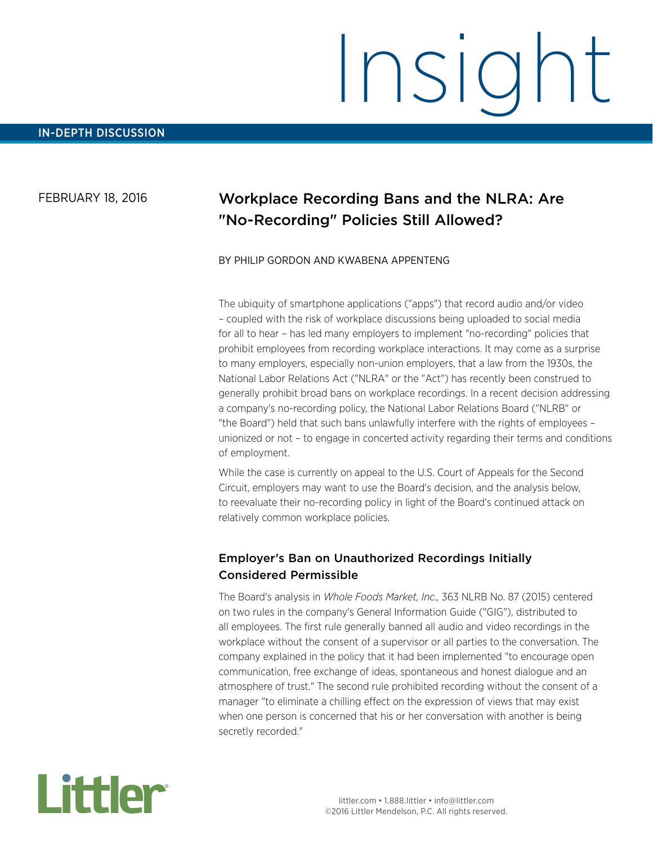#### FEBRUARY 18, 2016

# Workplace Recording Bans and the NLRA: Are "No-Recording" Policies Still Allowed?

#### BY PHILIP GORDON AND KWABENA APPENTENG

The ubiquity of smartphone applications ("apps") that record audio and/or video – coupled with the risk of workplace discussions being uploaded to social media for all to hear – has led many employers to implement "no-recording" policies that prohibit employees from recording workplace interactions. It may come as a surprise to many employers, especially non-union employers, that a law from the 1930s, the National Labor Relations Act ("NLRA" or the "Act") has recently been construed to generally prohibit broad bans on workplace recordings. In a recent decision addressing a company's no-recording policy, the National Labor Relations Board ("NLRB" or "the Board") held that such bans unlawfully interfere with the rights of employees – unionized or not – to engage in concerted activity regarding their terms and conditions of employment.

While the case is currently on appeal to the U.S. Court of Appeals for the Second Circuit, employers may want to use the Board's decision, and the analysis below, to reevaluate their no-recording policy in light of the Board's continued attack on relatively common workplace policies.

#### Employer's Ban on Unauthorized Recordings Initially Considered Permissible

The Board's analysis in *Whole Foods Market, Inc.,* 363 NLRB No. 87 (2015) centered on two rules in the company's General Information Guide ("GIG"), distributed to all employees. The first rule generally banned all audio and video recordings in the workplace without the consent of a supervisor or all parties to the conversation. The company explained in the policy that it had been implemented "to encourage open communication, free exchange of ideas, spontaneous and honest dialogue and an atmosphere of trust." The second rule prohibited recording without the consent of a manager "to eliminate a chilling effect on the expression of views that may exist when one person is concerned that his or her conversation with another is being secretly recorded."

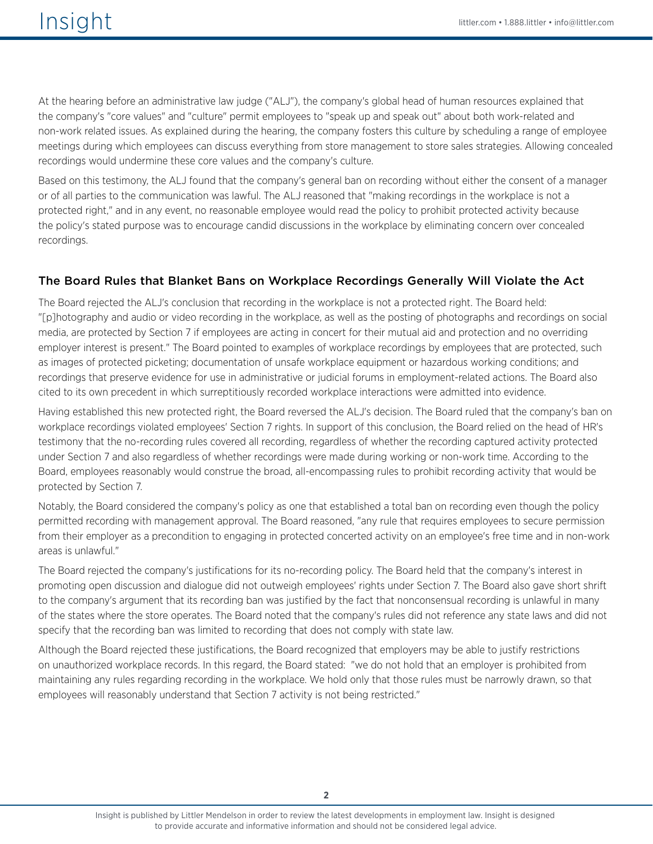At the hearing before an administrative law judge ("ALJ"), the company's global head of human resources explained that the company's "core values" and "culture" permit employees to "speak up and speak out" about both work-related and non-work related issues. As explained during the hearing, the company fosters this culture by scheduling a range of employee meetings during which employees can discuss everything from store management to store sales strategies. Allowing concealed recordings would undermine these core values and the company's culture.

Based on this testimony, the ALJ found that the company's general ban on recording without either the consent of a manager or of all parties to the communication was lawful. The ALJ reasoned that "making recordings in the workplace is not a protected right," and in any event, no reasonable employee would read the policy to prohibit protected activity because the policy's stated purpose was to encourage candid discussions in the workplace by eliminating concern over concealed recordings.

### The Board Rules that Blanket Bans on Workplace Recordings Generally Will Violate the Act

The Board rejected the ALJ's conclusion that recording in the workplace is not a protected right. The Board held: "[p]hotography and audio or video recording in the workplace, as well as the posting of photographs and recordings on social media, are protected by Section 7 if employees are acting in concert for their mutual aid and protection and no overriding employer interest is present." The Board pointed to examples of workplace recordings by employees that are protected, such as images of protected picketing; documentation of unsafe workplace equipment or hazardous working conditions; and recordings that preserve evidence for use in administrative or judicial forums in employment-related actions. The Board also cited to its own precedent in which surreptitiously recorded workplace interactions were admitted into evidence.

Having established this new protected right, the Board reversed the ALJ's decision. The Board ruled that the company's ban on workplace recordings violated employees' Section 7 rights. In support of this conclusion, the Board relied on the head of HR's testimony that the no-recording rules covered all recording, regardless of whether the recording captured activity protected under Section 7 and also regardless of whether recordings were made during working or non-work time. According to the Board, employees reasonably would construe the broad, all-encompassing rules to prohibit recording activity that would be protected by Section 7.

Notably, the Board considered the company's policy as one that established a total ban on recording even though the policy permitted recording with management approval. The Board reasoned, "any rule that requires employees to secure permission from their employer as a precondition to engaging in protected concerted activity on an employee's free time and in non-work areas is unlawful."

The Board rejected the company's justifications for its no-recording policy. The Board held that the company's interest in promoting open discussion and dialogue did not outweigh employees' rights under Section 7. The Board also gave short shrift to the company's argument that its recording ban was justified by the fact that nonconsensual recording is unlawful in many of the states where the store operates. The Board noted that the company's rules did not reference any state laws and did not specify that the recording ban was limited to recording that does not comply with state law.

Although the Board rejected these justifications, the Board recognized that employers may be able to justify restrictions on unauthorized workplace records. In this regard, the Board stated: "we do not hold that an employer is prohibited from maintaining any rules regarding recording in the workplace. We hold only that those rules must be narrowly drawn, so that employees will reasonably understand that Section 7 activity is not being restricted."